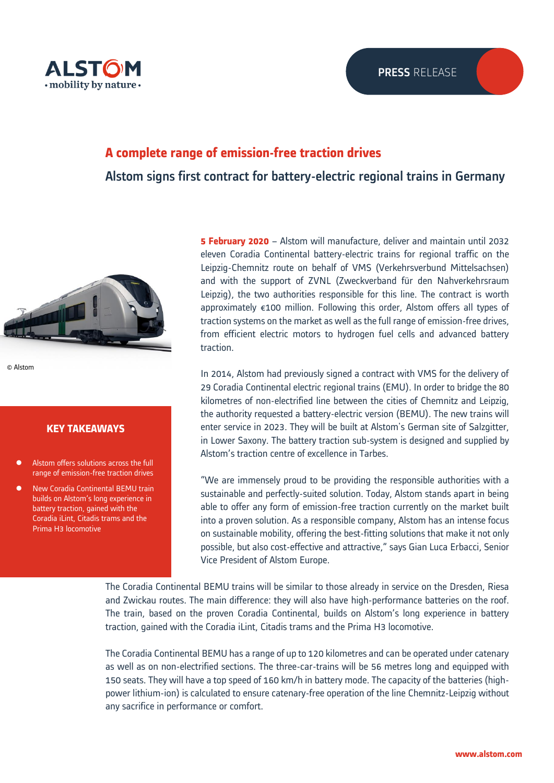

# **A complete range of emission-free traction drives**

Alstom signs first contract for battery-electric regional trains in Germany



© Alstom

# **KEY TAKEAWAYS**

- ⚫ Alstom offers solutions across the full range of emission-free traction drives
- ⚫ New Coradia Continental BEMU train builds on Alstom's long experience in battery traction, gained with the Coradia iLint, Citadis trams and the Prima H3 locomotive

**5 February 2020** – Alstom will manufacture, deliver and maintain until 2032 eleven Coradia Continental battery-electric trains for regional traffic on the Leipzig-Chemnitz route on behalf of VMS (Verkehrsverbund Mittelsachsen) and with the support of ZVNL (Zweckverband für den Nahverkehrsraum Leipzig), the two authorities responsible for this line. The contract is worth approximately €100 million. Following this order, Alstom offers all types of traction systems on the market as well as the full range of emission-free drives, from efficient electric motors to hydrogen fuel cells and advanced battery traction.

In 2014, Alstom had previously signed a contract with VMS for the delivery of 29 Coradia Continental electric regional trains (EMU). In order to bridge the 80 kilometres of non-electrified line between the cities of Chemnitz and Leipzig, the authority requested a battery-electric version (BEMU). The new trains will enter service in 2023. They will be built at Alstom's German site of Salzgitter, in Lower Saxony. The battery traction sub-system is designed and supplied by Alstom's traction centre of excellence in Tarbes.

"We are immensely proud to be providing the responsible authorities with a sustainable and perfectly-suited solution. Today, Alstom stands apart in being able to offer any form of emission-free traction currently on the market built into a proven solution. As a responsible company, Alstom has an intense focus on sustainable mobility, offering the best-fitting solutions that make it not only possible, but also cost-effective and attractive," says Gian Luca Erbacci, Senior Vice President of Alstom Europe.

The Coradia Continental BEMU trains will be similar to those already in service on the Dresden, Riesa and Zwickau routes. The main difference: they will also have high-performance batteries on the roof. The train, based on the proven Coradia Continental, builds on Alstom's long experience in battery traction, gained with the Coradia iLint, Citadis trams and the Prima H3 locomotive.

The Coradia Continental BEMU has a range of up to 120 kilometres and can be operated under catenary as well as on non-electrified sections. The three-car-trains will be 56 metres long and equipped with 150 seats. They will have a top speed of 160 km/h in battery mode. The capacity of the batteries (highpower lithium-ion) is calculated to ensure catenary-free operation of the line Chemnitz-Leipzig without any sacrifice in performance or comfort.